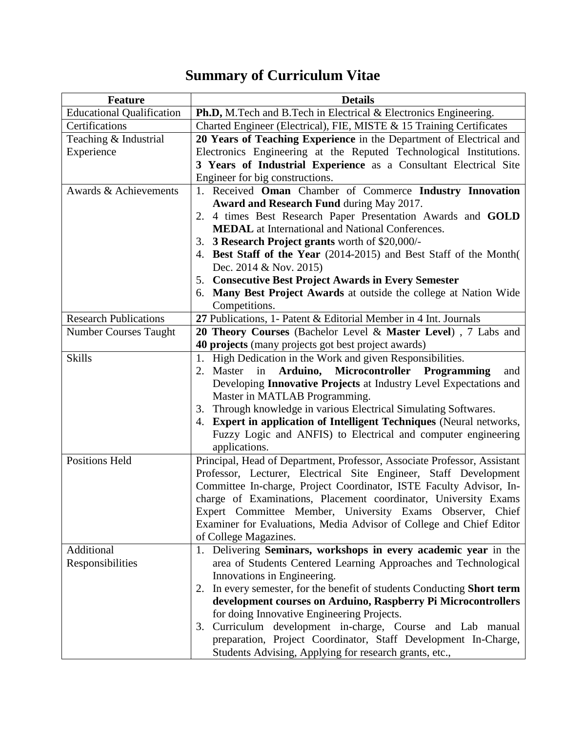# **Summary of Curriculum Vitae**

| <b>Feature</b>                   | <b>Details</b>                                                                                                                                                                                                                                                                                                                                                                                                                                                                                                                                           |
|----------------------------------|----------------------------------------------------------------------------------------------------------------------------------------------------------------------------------------------------------------------------------------------------------------------------------------------------------------------------------------------------------------------------------------------------------------------------------------------------------------------------------------------------------------------------------------------------------|
| <b>Educational Qualification</b> | <b>Ph.D,</b> M.Tech and B.Tech in Electrical & Electronics Engineering.                                                                                                                                                                                                                                                                                                                                                                                                                                                                                  |
| Certifications                   | Charted Engineer (Electrical), FIE, MISTE & 15 Training Certificates                                                                                                                                                                                                                                                                                                                                                                                                                                                                                     |
| Teaching & Industrial            | 20 Years of Teaching Experience in the Department of Electrical and                                                                                                                                                                                                                                                                                                                                                                                                                                                                                      |
| Experience                       | Electronics Engineering at the Reputed Technological Institutions.                                                                                                                                                                                                                                                                                                                                                                                                                                                                                       |
|                                  | 3 Years of Industrial Experience as a Consultant Electrical Site                                                                                                                                                                                                                                                                                                                                                                                                                                                                                         |
|                                  | Engineer for big constructions.                                                                                                                                                                                                                                                                                                                                                                                                                                                                                                                          |
| Awards & Achievements            | 1. Received Oman Chamber of Commerce Industry Innovation                                                                                                                                                                                                                                                                                                                                                                                                                                                                                                 |
|                                  | <b>Award and Research Fund during May 2017.</b>                                                                                                                                                                                                                                                                                                                                                                                                                                                                                                          |
|                                  | 2. 4 times Best Research Paper Presentation Awards and GOLD                                                                                                                                                                                                                                                                                                                                                                                                                                                                                              |
|                                  | <b>MEDAL</b> at International and National Conferences.                                                                                                                                                                                                                                                                                                                                                                                                                                                                                                  |
|                                  | 3 Research Project grants worth of \$20,000/-<br>3.                                                                                                                                                                                                                                                                                                                                                                                                                                                                                                      |
|                                  | 4. Best Staff of the Year (2014-2015) and Best Staff of the Month (                                                                                                                                                                                                                                                                                                                                                                                                                                                                                      |
|                                  | Dec. $2014 \& Nov. 2015$                                                                                                                                                                                                                                                                                                                                                                                                                                                                                                                                 |
|                                  | 5. Consecutive Best Project Awards in Every Semester                                                                                                                                                                                                                                                                                                                                                                                                                                                                                                     |
|                                  | 6. Many Best Project Awards at outside the college at Nation Wide                                                                                                                                                                                                                                                                                                                                                                                                                                                                                        |
|                                  | Competitions.                                                                                                                                                                                                                                                                                                                                                                                                                                                                                                                                            |
| <b>Research Publications</b>     | 27 Publications, 1- Patent & Editorial Member in 4 Int. Journals                                                                                                                                                                                                                                                                                                                                                                                                                                                                                         |
| <b>Number Courses Taught</b>     | 20 Theory Courses (Bachelor Level & Master Level), 7 Labs and                                                                                                                                                                                                                                                                                                                                                                                                                                                                                            |
|                                  | 40 projects (many projects got best project awards)                                                                                                                                                                                                                                                                                                                                                                                                                                                                                                      |
| <b>Skills</b>                    | High Dedication in the Work and given Responsibilities.                                                                                                                                                                                                                                                                                                                                                                                                                                                                                                  |
|                                  | Arduino, Microcontroller Programming<br>2. Master in<br>and                                                                                                                                                                                                                                                                                                                                                                                                                                                                                              |
|                                  | Developing Innovative Projects at Industry Level Expectations and                                                                                                                                                                                                                                                                                                                                                                                                                                                                                        |
|                                  | Master in MATLAB Programming.                                                                                                                                                                                                                                                                                                                                                                                                                                                                                                                            |
|                                  | Through knowledge in various Electrical Simulating Softwares.<br>3.                                                                                                                                                                                                                                                                                                                                                                                                                                                                                      |
|                                  | 4. Expert in application of Intelligent Techniques (Neural networks,                                                                                                                                                                                                                                                                                                                                                                                                                                                                                     |
|                                  | Fuzzy Logic and ANFIS) to Electrical and computer engineering                                                                                                                                                                                                                                                                                                                                                                                                                                                                                            |
|                                  | applications.                                                                                                                                                                                                                                                                                                                                                                                                                                                                                                                                            |
| <b>Positions Held</b>            | Principal, Head of Department, Professor, Associate Professor, Assistant                                                                                                                                                                                                                                                                                                                                                                                                                                                                                 |
|                                  | Professor, Lecturer, Electrical Site Engineer, Staff Development                                                                                                                                                                                                                                                                                                                                                                                                                                                                                         |
|                                  | Committee In-charge, Project Coordinator, ISTE Faculty Advisor, In-                                                                                                                                                                                                                                                                                                                                                                                                                                                                                      |
|                                  | charge of Examinations, Placement coordinator, University Exams                                                                                                                                                                                                                                                                                                                                                                                                                                                                                          |
|                                  | Expert Committee Member, University Exams Observer, Chief                                                                                                                                                                                                                                                                                                                                                                                                                                                                                                |
|                                  | Examiner for Evaluations, Media Advisor of College and Chief Editor                                                                                                                                                                                                                                                                                                                                                                                                                                                                                      |
|                                  | of College Magazines.                                                                                                                                                                                                                                                                                                                                                                                                                                                                                                                                    |
|                                  |                                                                                                                                                                                                                                                                                                                                                                                                                                                                                                                                                          |
|                                  |                                                                                                                                                                                                                                                                                                                                                                                                                                                                                                                                                          |
|                                  |                                                                                                                                                                                                                                                                                                                                                                                                                                                                                                                                                          |
|                                  |                                                                                                                                                                                                                                                                                                                                                                                                                                                                                                                                                          |
|                                  |                                                                                                                                                                                                                                                                                                                                                                                                                                                                                                                                                          |
|                                  |                                                                                                                                                                                                                                                                                                                                                                                                                                                                                                                                                          |
|                                  |                                                                                                                                                                                                                                                                                                                                                                                                                                                                                                                                                          |
|                                  |                                                                                                                                                                                                                                                                                                                                                                                                                                                                                                                                                          |
| Additional<br>Responsibilities   | 1. Delivering Seminars, workshops in every academic year in the<br>area of Students Centered Learning Approaches and Technological<br>Innovations in Engineering.<br>In every semester, for the benefit of students Conducting Short term<br>2.<br>development courses on Arduino, Raspberry Pi Microcontrollers<br>for doing Innovative Engineering Projects.<br>3. Curriculum development in-charge, Course and Lab manual<br>preparation, Project Coordinator, Staff Development In-Charge,<br>Students Advising, Applying for research grants, etc., |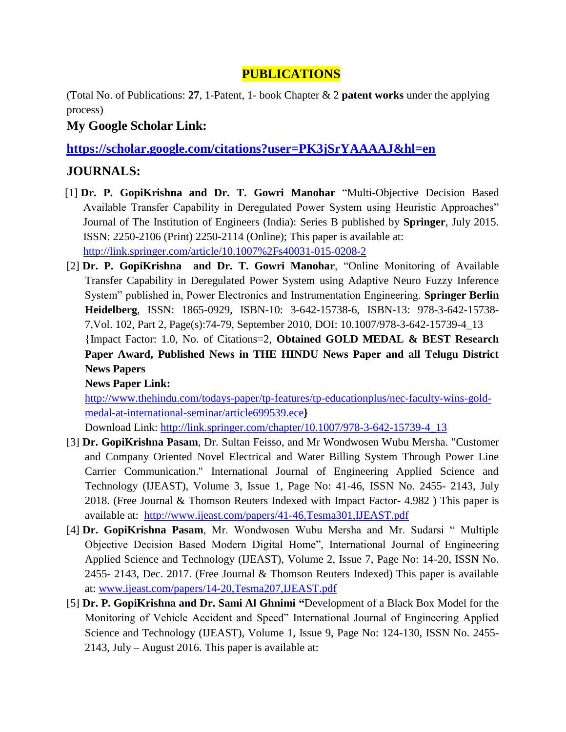### **PUBLICATIONS**

(Total No. of Publications: **27**, 1-Patent, 1- book Chapter & 2 **patent works** under the applying process)

### **My Google Scholar Link:**

**<https://scholar.google.com/citations?user=PK3jSrYAAAAJ&hl=en>**

### **JOURNALS:**

- [1] **Dr. P. GopiKrishna and Dr. T. Gowri Manohar** "Multi-Objective Decision Based Available Transfer Capability in Deregulated Power System using Heuristic Approaches" Journal of The Institution of Engineers (India): Series B published by **Springer**, July 2015. ISSN: 2250-2106 (Print) 2250-2114 (Online); This paper is available at: <http://link.springer.com/article/10.1007%2Fs40031-015-0208-2>
- [2] **Dr. P. GopiKrishna and Dr. T. Gowri Manohar**, "Online Monitoring of Available Transfer Capability in Deregulated Power System using Adaptive Neuro Fuzzy Inference System" published in, Power Electronics and Instrumentation Engineering. **Springer Berlin Heidelberg**, ISSN: 1865-0929, ISBN-10: 3-642-15738-6, ISBN-13: 978-3-642-15738- 7,Vol. 102, Part 2, Page(s):74-79, September 2010, DOI: 10.1007/978-3-642-15739-4\_13 {Impact Factor: 1.0, No. of Citations=2, **Obtained GOLD MEDAL & BEST Research Paper Award, Published News in THE HINDU News Paper and all Telugu District**

# **News Papers**

### **News Paper Link:**

[http://www.thehindu.com/todays-paper/tp-features/tp-educationplus/nec-faculty-wins-gold](http://www.thehindu.com/todays-paper/tp-features/tp-educationplus/nec-faculty-wins-gold-medal-at-international-seminar/article699539.ece)[medal-at-international-seminar/article699539.ece](http://www.thehindu.com/todays-paper/tp-features/tp-educationplus/nec-faculty-wins-gold-medal-at-international-seminar/article699539.ece)**}**

Download Link: [http://link.springer.com/chapter/10.1007/978-3-642-15739-4\\_13](http://link.springer.com/chapter/10.1007/978-3-642-15739-4_13)

- [3] **Dr. GopiKrishna Pasam**, Dr. Sultan Feisso, and Mr Wondwosen Wubu Mersha. "Customer and Company Oriented Novel Electrical and Water Billing System Through Power Line Carrier Communication." International Journal of Engineering Applied Science and Technology (IJEAST), Volume 3, Issue 1, Page No: 41-46, ISSN No. 2455- 2143, July 2018. (Free Journal & Thomson Reuters Indexed with Impact Factor- 4.982 ) This paper is available at: <http://www.ijeast.com/papers/41-46,Tesma301,IJEAST.pdf>
- [4] **Dr. GopiKrishna Pasam**, Mr. Wondwosen Wubu Mersha and Mr. Sudarsi " Multiple Objective Decision Based Modern Digital Home", International Journal of Engineering Applied Science and Technology (IJEAST), Volume 2, Issue 7, Page No: 14-20, ISSN No. 2455- 2143, Dec. 2017. (Free Journal & Thomson Reuters Indexed) This paper is available at: [www.ijeast.com/papers/14-20,Tesma207,IJEAST.pdf](http://www.ijeast.com/papers/14-20,Tesma207,IJEAST.pdf)
- [5] **Dr. P. GopiKrishna and Dr. Sami Al Ghnimi "**Development of a Black Box Model for the Monitoring of Vehicle Accident and Speed" International Journal of Engineering Applied Science and Technology (IJEAST), Volume 1, Issue 9, Page No: 124-130, ISSN No. 2455- 2143, July – August 2016. This paper is available at: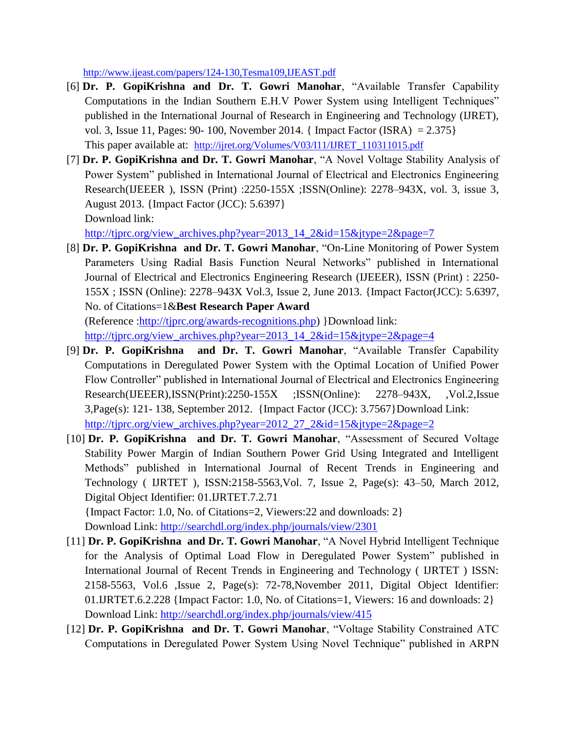<http://www.ijeast.com/papers/124-130,Tesma109,IJEAST.pdf>

- [6] **Dr. P. GopiKrishna and Dr. T. Gowri Manohar**, "Available Transfer Capability Computations in the Indian Southern E.H.V Power System using Intelligent Techniques" published in the International Journal of Research in Engineering and Technology (IJRET), vol. 3, Issue 11, Pages: 90- 100, November 2014. { Impact Factor (ISRA) = 2.375} This paper available at: http://ijret.org/Volumes/V03/I11/IJRET\_110311015.pdf
- [7] **Dr. P. GopiKrishna and Dr. T. Gowri Manohar**, "A Novel Voltage Stability Analysis of Power System" published in International Journal of Electrical and Electronics Engineering Research(IJEEER ), ISSN (Print) :2250-155X ;ISSN(Online): 2278–943X, vol. 3, issue 3, August 2013. {Impact Factor (JCC): 5.6397} Download link:

http://tjprc.org/view\_archives.php?year=2013\_14\_2&id=15&jtype=2&page=7

[8] **Dr. P. GopiKrishna and Dr. T. Gowri Manohar**, "On-Line Monitoring of Power System Parameters Using Radial Basis Function Neural Networks" published in International Journal of Electrical and Electronics Engineering Research (IJEEER), ISSN (Print) : 2250- 155X ; ISSN (Online): 2278–943X Vol.3, Issue 2, June 2013. {Impact Factor(JCC): 5.6397, No. of Citations=1&**Best Research Paper Award** 

(Reference [:http://tjprc.org/awards-recognitions.php\)](http://tjprc.org/awards-recognitions.php) }Download link: [http://tjprc.org/view\\_archives.php?year=2013\\_14\\_2&id=15&jtype=2&page=4](http://tjprc.org/view_archives.php?year=2013_14_2&id=15&jtype=2&page=4)

- [9] **Dr. P. GopiKrishna and Dr. T. Gowri Manohar**, "Available Transfer Capability Computations in Deregulated Power System with the Optimal Location of Unified Power Flow Controller" published in International Journal of Electrical and Electronics Engineering Research(IJEEER),ISSN(Print):2250-155X ;ISSN(Online): 2278–943X, ,Vol.2,Issue 3,Page(s): 121- 138, September 2012. {Impact Factor (JCC): 3.7567}Download Link: http://tjprc.org/view\_archives.php?year=2012\_27\_2&id=15&jtype=2&page=2
- [10] **Dr. P. GopiKrishna and Dr. T. Gowri Manohar**, "Assessment of Secured Voltage Stability Power Margin of Indian Southern Power Grid Using Integrated and Intelligent Methods" published in International Journal of Recent Trends in Engineering and Technology ( IJRTET ), ISSN:2158-5563,Vol. 7, Issue 2, Page(s): 43–50, March 2012, Digital Object Identifier: 01.IJRTET.7.2.71

{Impact Factor: 1.0, No. of Citations=2, Viewers:22 and downloads: 2} Download Link:<http://searchdl.org/index.php/journals/view/2301>

- [11] **Dr. P. GopiKrishna and Dr. T. Gowri Manohar**, "A Novel Hybrid Intelligent Technique for the Analysis of Optimal Load Flow in Deregulated Power System" published in International Journal of Recent Trends in Engineering and Technology ( IJRTET ) ISSN: 2158-5563, Vol.6 ,Issue 2, Page(s): 72-78,November 2011, Digital Object Identifier: 01.IJRTET.6.2.228 {Impact Factor: 1.0, No. of Citations=1, Viewers: 16 and downloads: 2} Download Link: http://searchdl.org/index.php/journals/view/415
- [12] **Dr. P. GopiKrishna and Dr. T. Gowri Manohar**, "Voltage Stability Constrained ATC Computations in Deregulated Power System Using Novel Technique" published in ARPN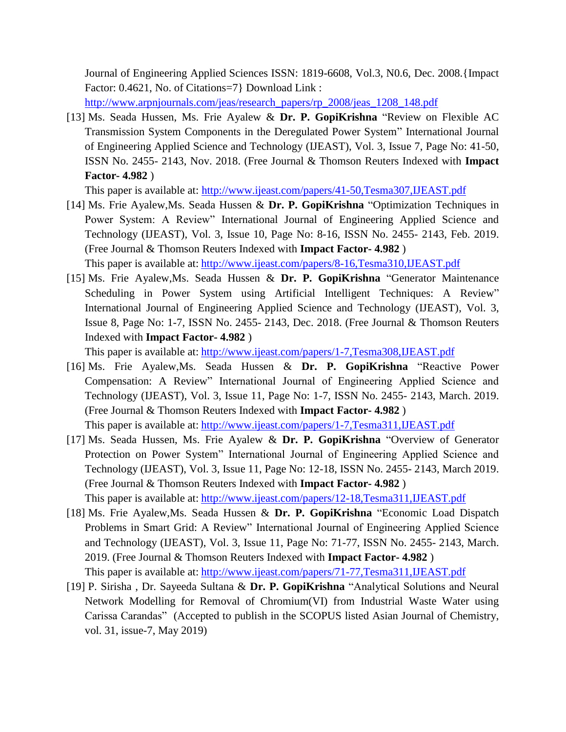Journal of Engineering Applied Sciences ISSN: 1819-6608, Vol.3, N0.6, Dec. 2008.{Impact Factor: 0.4621, No. of Citations=7} Download Link :

[http://www.arpnjournals.com/jeas/research\\_papers/rp\\_2008/jeas\\_1208\\_148.pdf](http://www.arpnjournals.com/jeas/research_papers/rp_2008/jeas_1208_148.pdf)

[13] Ms. Seada Hussen, Ms. Frie Ayalew & **Dr. P. GopiKrishna** "Review on Flexible AC Transmission System Components in the Deregulated Power System" International Journal of Engineering Applied Science and Technology (IJEAST), Vol. 3, Issue 7, Page No: 41-50, ISSN No. 2455- 2143, Nov. 2018. (Free Journal & Thomson Reuters Indexed with **Impact Factor- 4.982** )

This paper is available at: http://www.ijeast.com/papers/41-50,Tesma307,UEAST.pdf

- [14] Ms. Frie Ayalew,Ms. Seada Hussen & **Dr. P. GopiKrishna** "Optimization Techniques in Power System: A Review" International Journal of Engineering Applied Science and Technology (IJEAST), Vol. 3, Issue 10, Page No: 8-16, ISSN No. 2455- 2143, Feb. 2019. (Free Journal & Thomson Reuters Indexed with **Impact Factor- 4.982** ) This paper is available at: <http://www.ijeast.com/papers/8-16,Tesma310,IJEAST.pdf>
- [15] Ms. Frie Ayalew,Ms. Seada Hussen & **Dr. P. GopiKrishna** "Generator Maintenance Scheduling in Power System using Artificial Intelligent Techniques: A Review" International Journal of Engineering Applied Science and Technology (IJEAST), Vol. 3, Issue 8, Page No: 1-7, ISSN No. 2455- 2143, Dec. 2018. (Free Journal & Thomson Reuters Indexed with **Impact Factor- 4.982** )

This paper is available at: <http://www.ijeast.com/papers/1-7,Tesma308,IJEAST.pdf>

- [16] Ms. Frie Ayalew,Ms. Seada Hussen & **Dr. P. GopiKrishna** "Reactive Power Compensation: A Review" International Journal of Engineering Applied Science and Technology (IJEAST), Vol. 3, Issue 11, Page No: 1-7, ISSN No. 2455- 2143, March. 2019. (Free Journal & Thomson Reuters Indexed with **Impact Factor- 4.982** ) This paper is available at: <http://www.ijeast.com/papers/1-7,Tesma311,IJEAST.pdf>
- [17] Ms. Seada Hussen, Ms. Frie Ayalew & **Dr. P. GopiKrishna** "Overview of Generator Protection on Power System" International Journal of Engineering Applied Science and Technology (IJEAST), Vol. 3, Issue 11, Page No: 12-18, ISSN No. 2455- 2143, March 2019. (Free Journal & Thomson Reuters Indexed with **Impact Factor- 4.982** )

This paper is available at: <http://www.ijeast.com/papers/12-18,Tesma311,IJEAST.pdf>

- [18] Ms. Frie Ayalew,Ms. Seada Hussen & **Dr. P. GopiKrishna** "Economic Load Dispatch Problems in Smart Grid: A Review" International Journal of Engineering Applied Science and Technology (IJEAST), Vol. 3, Issue 11, Page No: 71-77, ISSN No. 2455- 2143, March. 2019. (Free Journal & Thomson Reuters Indexed with **Impact Factor- 4.982** ) This paper is available at: http://www.ijeast.com/papers/71-77,Tesma311,UEAST.pdf
- [19] P. Sirisha , Dr. Sayeeda Sultana & **Dr. P. GopiKrishna** "Analytical Solutions and Neural Network Modelling for Removal of Chromium(VI) from Industrial Waste Water using Carissa Carandas" (Accepted to publish in the SCOPUS listed Asian Journal of Chemistry, vol. 31, issue-7, May 2019)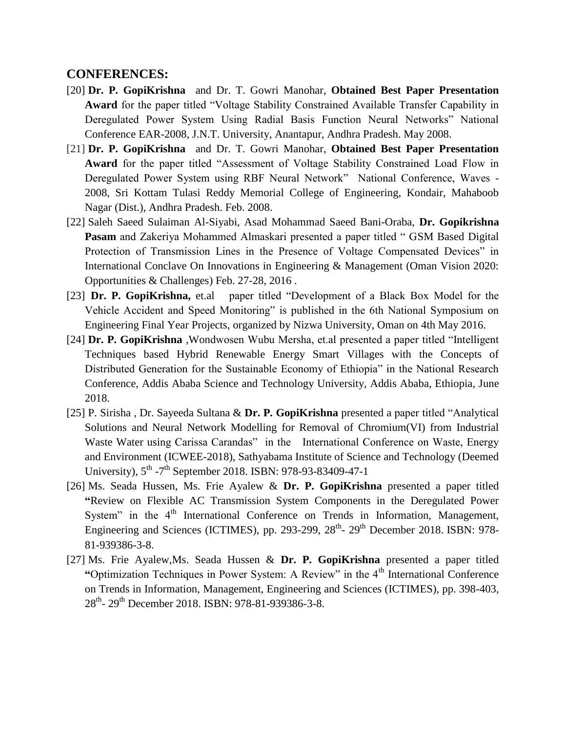### **CONFERENCES:**

- [20] **Dr. P. GopiKrishna** and Dr. T. Gowri Manohar, **Obtained Best Paper Presentation Award** for the paper titled "Voltage Stability Constrained Available Transfer Capability in Deregulated Power System Using Radial Basis Function Neural Networks" National Conference EAR-2008, J.N.T. University, Anantapur, Andhra Pradesh. May 2008.
- [21] **Dr. P. GopiKrishna** and Dr. T. Gowri Manohar, **Obtained Best Paper Presentation Award** for the paper titled "Assessment of Voltage Stability Constrained Load Flow in Deregulated Power System using RBF Neural Network" National Conference, Waves - 2008, Sri Kottam Tulasi Reddy Memorial College of Engineering, Kondair, Mahaboob Nagar (Dist.), Andhra Pradesh. Feb. 2008.
- [22] Saleh Saeed Sulaiman Al-Siyabi, Asad Mohammad Saeed Bani-Oraba, **Dr. Gopikrishna Pasam** and Zakeriya Mohammed Almaskari presented a paper titled " GSM Based Digital Protection of Transmission Lines in the Presence of Voltage Compensated Devices" in International Conclave On Innovations in Engineering & Management (Oman Vision 2020: Opportunities & Challenges) Feb. 27-28, 2016 .
- [23] **Dr. P. GopiKrishna,** et.alpaper titled "Development of a Black Box Model for the Vehicle Accident and Speed Monitoring" is published in the 6th National Symposium on Engineering Final Year Projects, organized by Nizwa University, Oman on 4th May 2016.
- [24] **Dr. P. GopiKrishna** ,Wondwosen Wubu Mersha, et.al presented a paper titled "Intelligent Techniques based Hybrid Renewable Energy Smart Villages with the Concepts of Distributed Generation for the Sustainable Economy of Ethiopia" in the National Research Conference, Addis Ababa Science and Technology University, Addis Ababa, Ethiopia, June 2018.
- [25] P. Sirisha , Dr. Sayeeda Sultana & **Dr. P. GopiKrishna** presented a paper titled "Analytical Solutions and Neural Network Modelling for Removal of Chromium(VI) from Industrial Waste Water using Carissa Carandas" in the International Conference on Waste, Energy and Environment (ICWEE-2018), Sathyabama Institute of Science and Technology (Deemed University),  $5^{th}$  -7<sup>th</sup> September 2018. ISBN: 978-93-83409-47-1
- [26] Ms. Seada Hussen, Ms. Frie Ayalew & **Dr. P. GopiKrishna** presented a paper titled **"**Review on Flexible AC Transmission System Components in the Deregulated Power System" in the 4<sup>th</sup> International Conference on Trends in Information, Management, Engineering and Sciences (ICTIMES), pp. 293-299, 28<sup>th</sup>- 29<sup>th</sup> December 2018. ISBN: 978-81-939386-3-8.
- [27] Ms. Frie Ayalew,Ms. Seada Hussen & **Dr. P. GopiKrishna** presented a paper titled **"Optimization Techniques in Power System: A Review" in the 4<sup>th</sup> International Conference** on Trends in Information, Management, Engineering and Sciences (ICTIMES), pp. 398-403, 28<sup>th</sup>- 29<sup>th</sup> December 2018. ISBN: 978-81-939386-3-8.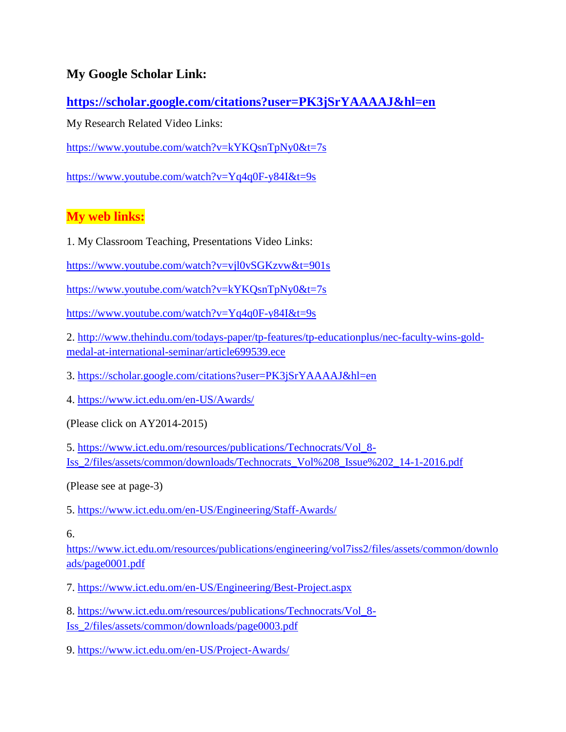## **My Google Scholar Link:**

**<https://scholar.google.com/citations?user=PK3jSrYAAAAJ&hl=en>**

My Research Related Video Links:

<https://www.youtube.com/watch?v=kYKQsnTpNy0&t=7s>

<https://www.youtube.com/watch?v=Yq4q0F-y84I&t=9s>

### **My web links:**

1. My Classroom Teaching, Presentations Video Links:

<https://www.youtube.com/watch?v=vjl0vSGKzvw&t=901s>

<https://www.youtube.com/watch?v=kYKQsnTpNy0&t=7s>

<https://www.youtube.com/watch?v=Yq4q0F-y84I&t=9s>

2. [http://www.thehindu.com/todays-paper/tp-features/tp-educationplus/nec-faculty-wins-gold](http://www.thehindu.com/todays-paper/tp-features/tp-educationplus/nec-faculty-wins-gold-medal-at-international-seminar/article699539.ece)[medal-at-international-seminar/article699539.ece](http://www.thehindu.com/todays-paper/tp-features/tp-educationplus/nec-faculty-wins-gold-medal-at-international-seminar/article699539.ece)

3.<https://scholar.google.com/citations?user=PK3jSrYAAAAJ&hl=en>

4.<https://www.ict.edu.om/en-US/Awards/>

(Please click on AY2014-2015)

5. [https://www.ict.edu.om/resources/publications/Technocrats/Vol\\_8-](https://www.ict.edu.om/resources/publications/Technocrats/Vol_8-Iss_2/files/assets/common/downloads/Technocrats_Vol%208_Issue%202_14-1-2016.pdf) [Iss\\_2/files/assets/common/downloads/Technocrats\\_Vol%208\\_Issue%202\\_14-1-2016.pdf](https://www.ict.edu.om/resources/publications/Technocrats/Vol_8-Iss_2/files/assets/common/downloads/Technocrats_Vol%208_Issue%202_14-1-2016.pdf)

(Please see at page-3)

5.<https://www.ict.edu.om/en-US/Engineering/Staff-Awards/>

[https://www.ict.edu.om/resources/publications/engineering/vol7iss2/files/assets/common/downlo](https://www.ict.edu.om/resources/publications/engineering/vol7iss2/files/assets/common/downloads/page0001.pdf) [ads/page0001.pdf](https://www.ict.edu.om/resources/publications/engineering/vol7iss2/files/assets/common/downloads/page0001.pdf)

7.<https://www.ict.edu.om/en-US/Engineering/Best-Project.aspx>

8. [https://www.ict.edu.om/resources/publications/Technocrats/Vol\\_8-](https://www.ict.edu.om/resources/publications/Technocrats/Vol_8-Iss_2/files/assets/common/downloads/page0003.pdf) [Iss\\_2/files/assets/common/downloads/page0003.pdf](https://www.ict.edu.om/resources/publications/Technocrats/Vol_8-Iss_2/files/assets/common/downloads/page0003.pdf)

9.<https://www.ict.edu.om/en-US/Project-Awards/>

<sup>6.</sup>